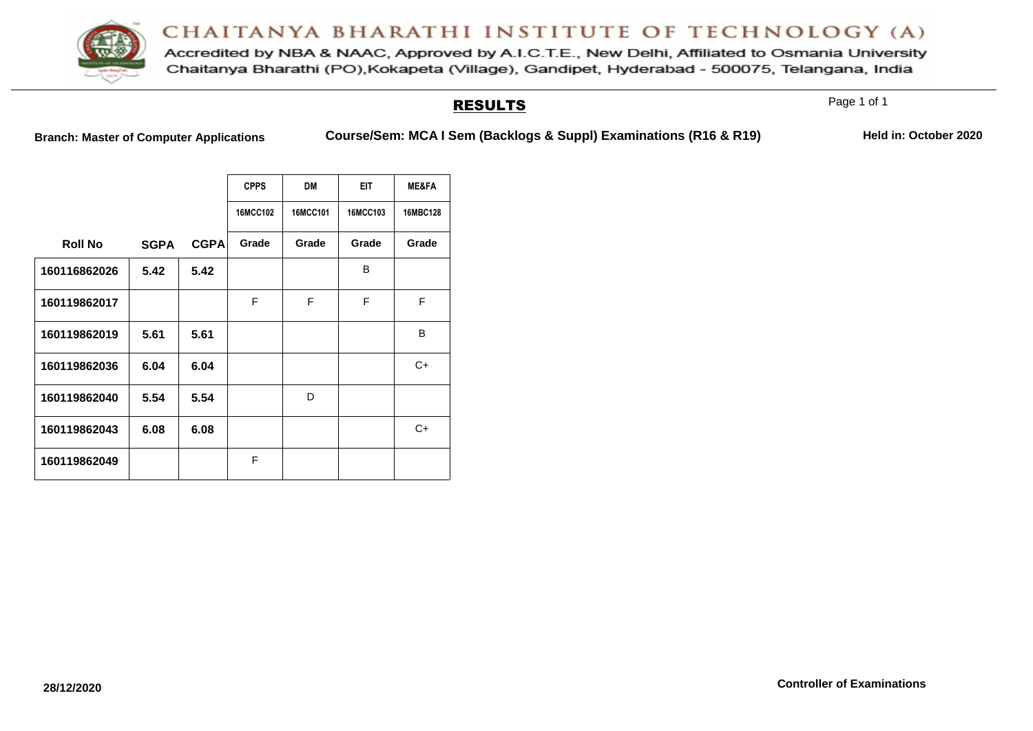

Accredited by NBA & NAAC, Approved by A.I.C.T.E., New Delhi, Affiliated to Osmania University Chaitanya Bharathi (PO), Kokapeta (Village), Gandipet, Hyderabad - 500075, Telangana, India

#### RESULTS

Page 1 of 1

**Branch: Master of Computer Applications Course/Sem: MCA I Sem (Backlogs & Suppl) Examinations (R16 & R19) Held in: October 2020**

|                |             |             | <b>CPPS</b>     | <b>DM</b> | <b>EIT</b> | <b>ME&amp;FA</b> |
|----------------|-------------|-------------|-----------------|-----------|------------|------------------|
|                |             |             | <b>16MCC102</b> | 16MCC101  | 16MCC103   | 16MBC128         |
| <b>Roll No</b> | <b>SGPA</b> | <b>CGPA</b> | Grade           | Grade     | Grade      | Grade            |
| 160116862026   | 5.42        | 5.42        |                 |           | B          |                  |
| 160119862017   |             |             | F               | F         | F          | F                |
| 160119862019   | 5.61        | 5.61        |                 |           |            | B                |
| 160119862036   | 6.04        | 6.04        |                 |           |            | C+               |
| 160119862040   | 5.54        | 5.54        |                 | D         |            |                  |
| 160119862043   | 6.08        | 6.08        |                 |           |            | C+               |
| 160119862049   |             |             | F               |           |            |                  |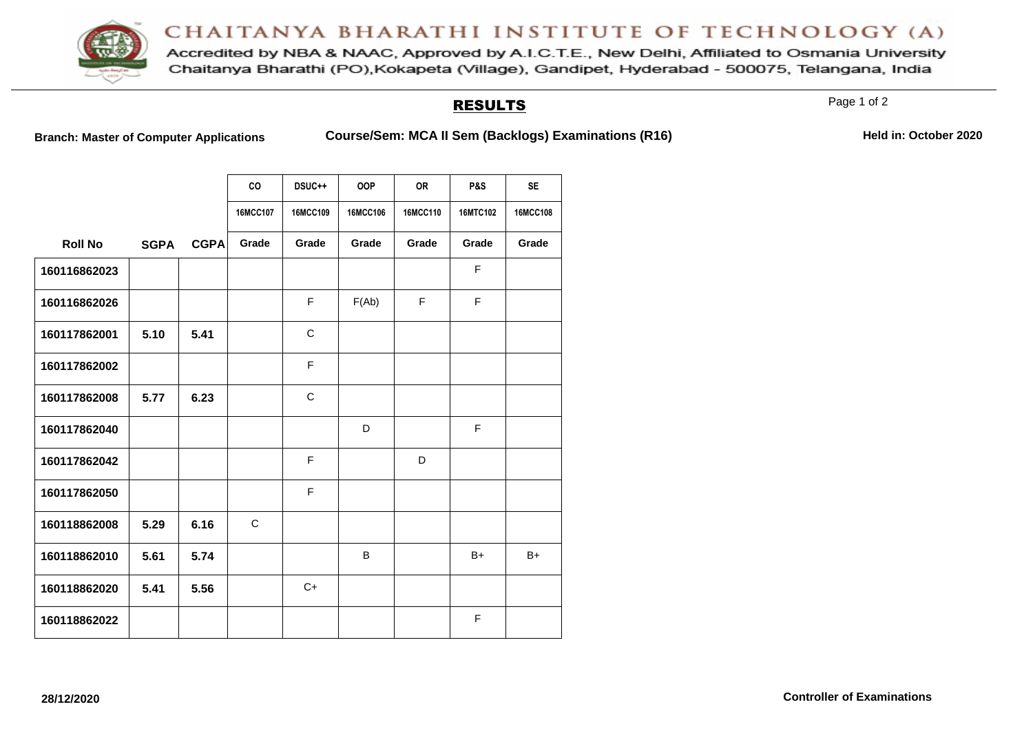

Accredited by NBA & NAAC, Approved by A.I.C.T.E., New Delhi, Affiliated to Osmania University Chaitanya Bharathi (PO), Kokapeta (Village), Gandipet, Hyderabad - 500075, Telangana, India

#### RESULTS

Page 1 of 2

Branch: Master of Computer Applications **Course/Sem: MCA II Sem (Backlogs) Examinations (R16)** Held in: October 2020

|                |             |             | CO<br>16MCC107 | DSUC++<br>16MCC109 | <b>OOP</b><br>16MCC106 | <b>OR</b><br><b>16MCC110</b> | <b>P&amp;S</b><br>16MTC102 | <b>SE</b><br>16MCC108 |
|----------------|-------------|-------------|----------------|--------------------|------------------------|------------------------------|----------------------------|-----------------------|
| <b>Roll No</b> | <b>SGPA</b> | <b>CGPA</b> | Grade          | Grade              | Grade                  | Grade                        | Grade                      | Grade                 |
| 160116862023   |             |             |                |                    |                        |                              | F                          |                       |
| 160116862026   |             |             |                | F                  | F(Ab)                  | F                            | F                          |                       |
| 160117862001   | 5.10        | 5.41        |                | $\mathsf{C}$       |                        |                              |                            |                       |
| 160117862002   |             |             |                | F                  |                        |                              |                            |                       |
| 160117862008   | 5.77        | 6.23        |                | C                  |                        |                              |                            |                       |
| 160117862040   |             |             |                |                    | D                      |                              | F                          |                       |
| 160117862042   |             |             |                | F                  |                        | D                            |                            |                       |
| 160117862050   |             |             |                | F                  |                        |                              |                            |                       |
| 160118862008   | 5.29        | 6.16        | C              |                    |                        |                              |                            |                       |
| 160118862010   | 5.61        | 5.74        |                |                    | B                      |                              | $B+$                       | $B+$                  |
| 160118862020   | 5.41        | 5.56        |                | $C+$               |                        |                              |                            |                       |
| 160118862022   |             |             |                |                    |                        |                              | F                          |                       |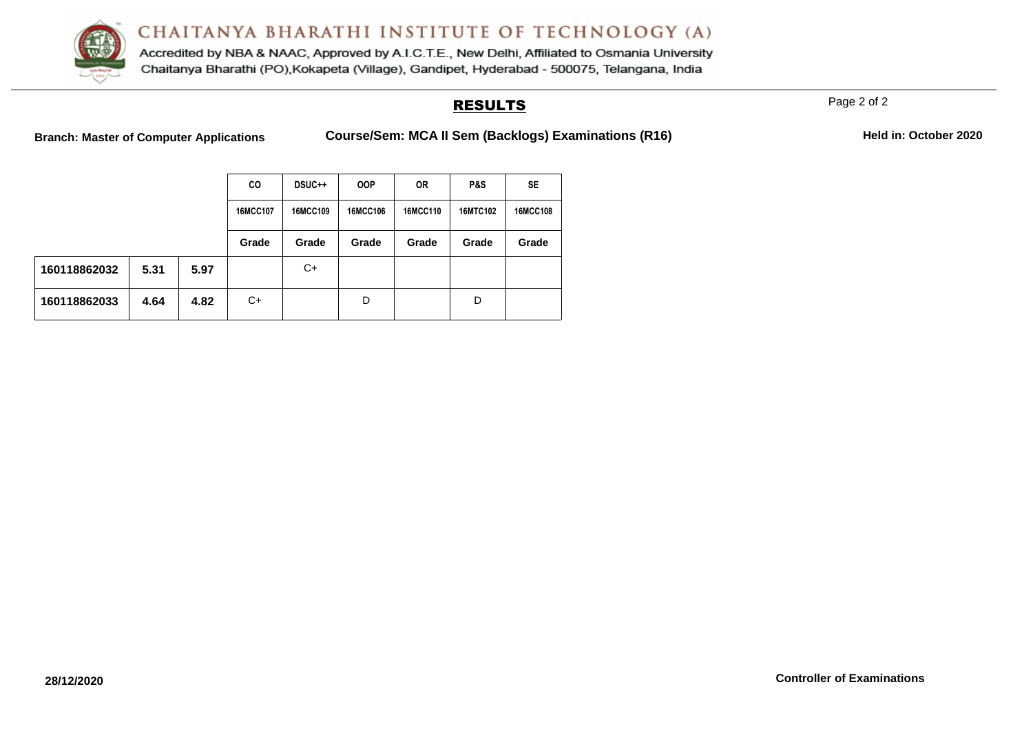

Accredited by NBA & NAAC, Approved by A.I.C.T.E., New Delhi, Affiliated to Osmania University Chaitanya Bharathi (PO), Kokapeta (Village), Gandipet, Hyderabad - 500075, Telangana, India

### RESULTS

Page 2 of 2

Branch: Master of Computer Applications **Course/Sem: MCA II Sem (Backlogs) Examinations (R16)** Held in: October 2020

|              |      |          | CO       | <b>DSUC++</b> | <b>OOP</b>      | <b>OR</b> | P&S             | SE    |
|--------------|------|----------|----------|---------------|-----------------|-----------|-----------------|-------|
|              |      | 16MCC107 | 16MCC109 | 16MCC106      | <b>16MCC110</b> | 16MTC102  | <b>16MCC108</b> |       |
|              |      |          | Grade    | Grade         | Grade           | Grade     | Grade           | Grade |
| 160118862032 | 5.31 | 5.97     |          | C+            |                 |           |                 |       |
| 160118862033 | 4.64 | 4.82     | C+       |               | D               |           | D               |       |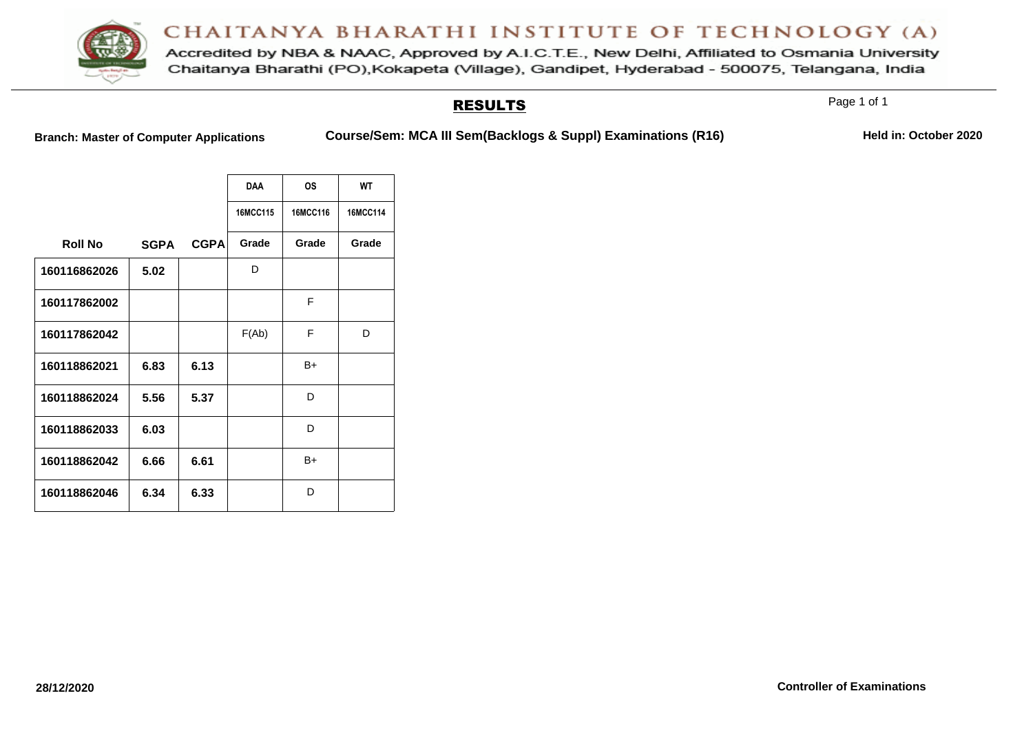

Accredited by NBA & NAAC, Approved by A.I.C.T.E., New Delhi, Affiliated to Osmania University Chaitanya Bharathi (PO), Kokapeta (Village), Gandipet, Hyderabad - 500075, Telangana, India

#### RESULTS

Page 1 of 1

**Branch: Master of Computer Applications Course/Sem: MCA III Sem(Backlogs & Suppl) Examinations (R16) Held in: October 2020**

|                |             |             | <b>DAA</b> | <b>OS</b> | <b>WT</b> |
|----------------|-------------|-------------|------------|-----------|-----------|
|                |             |             | 16MCC115   | 16MCC116  | 16MCC114  |
| <b>Roll No</b> | <b>SGPA</b> | <b>CGPA</b> | Grade      | Grade     | Grade     |
| 160116862026   | 5.02        |             | D          |           |           |
| 160117862002   |             |             |            | F         |           |
| 160117862042   |             |             | F(Ab)      | F         | D         |
| 160118862021   | 6.83        | 6.13        |            | B+        |           |
| 160118862024   | 5.56        | 5.37        |            | D         |           |
| 160118862033   | 6.03        |             |            | D         |           |
| 160118862042   | 6.66        | 6.61        |            | B+        |           |
| 160118862046   | 6.34        | 6.33        |            | D         |           |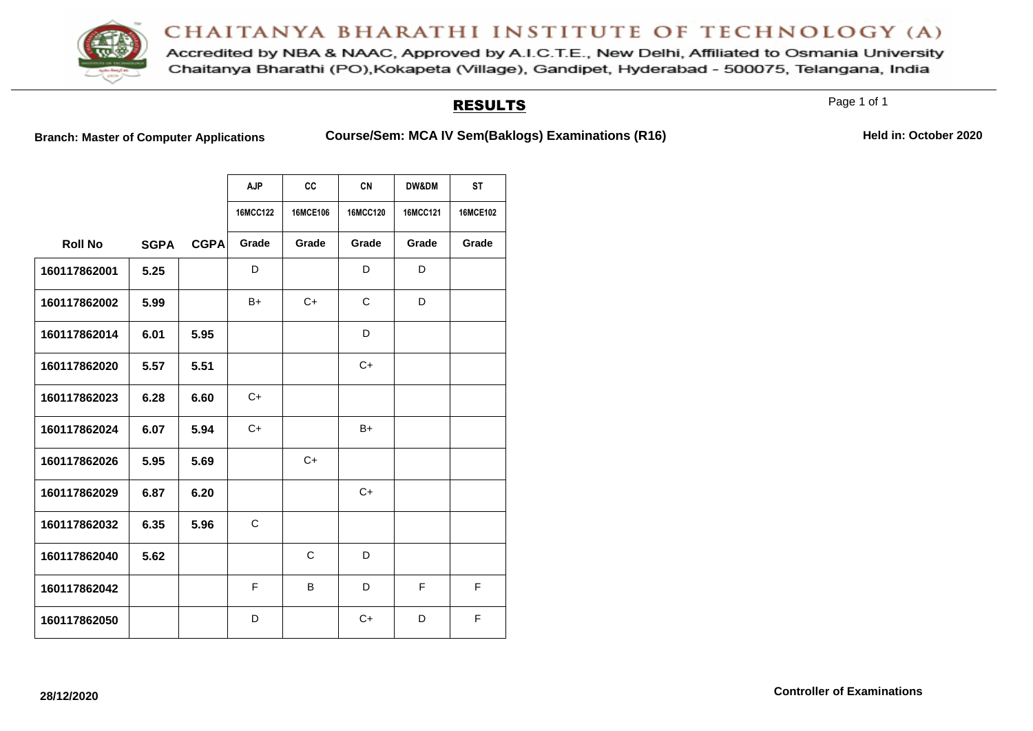

Accredited by NBA & NAAC, Approved by A.I.C.T.E., New Delhi, Affiliated to Osmania University Chaitanya Bharathi (PO), Kokapeta (Village), Gandipet, Hyderabad - 500075, Telangana, India

#### RESULTS

Page 1 of 1

Branch: Master of Computer Applications **Course/Sem: MCA IV Sem(Baklogs) Examinations (R16)** Held in: October 2020

|                |             |             | <b>AJP</b>      | cc       | <b>CN</b>       | <b>DW&amp;DM</b> | <b>ST</b>       |
|----------------|-------------|-------------|-----------------|----------|-----------------|------------------|-----------------|
|                |             |             | <b>16MCC122</b> | 16MCE106 | <b>16MCC120</b> | 16MCC121         | <b>16MCE102</b> |
| <b>Roll No</b> | <b>SGPA</b> | <b>CGPA</b> | Grade           | Grade    | Grade           | Grade            | Grade           |
| 160117862001   | 5.25        |             | D               |          | D               | D                |                 |
| 160117862002   | 5.99        |             | $B+$            | $C+$     | $\mathsf{C}$    | D                |                 |
| 160117862014   | 6.01        | 5.95        |                 |          | D               |                  |                 |
| 160117862020   | 5.57        | 5.51        |                 |          | $C+$            |                  |                 |
| 160117862023   | 6.28        | 6.60        | $C+$            |          |                 |                  |                 |
| 160117862024   | 6.07        | 5.94        | $C+$            |          | $B+$            |                  |                 |
| 160117862026   | 5.95        | 5.69        |                 | $C+$     |                 |                  |                 |
| 160117862029   | 6.87        | 6.20        |                 |          | $C+$            |                  |                 |
| 160117862032   | 6.35        | 5.96        | $\mathsf{C}$    |          |                 |                  |                 |
| 160117862040   | 5.62        |             |                 | C        | D               |                  |                 |
| 160117862042   |             |             | F               | B        | D               | F                | F               |
| 160117862050   |             |             | D               |          | $C+$            | D                | F               |